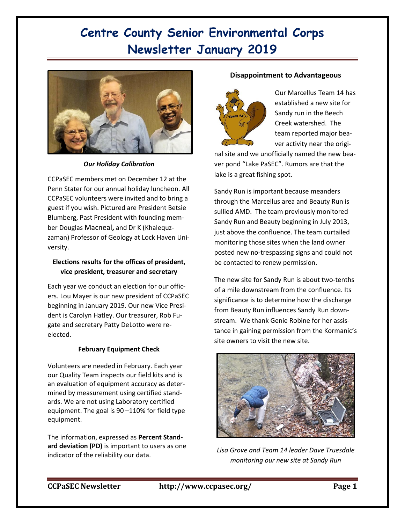# **Centre County Senior Environmental Corps Newsletter January 2019**



*Our Holiday Calibration*

CCPaSEC members met on December 12 at the Penn Stater for our annual holiday luncheon. All CCPaSEC volunteers were invited and to bring a guest if you wish. Pictured are President Betsie Blumberg, Past President with founding member Douglas Macneal**,** and Dr K (Khalequzzaman) Professor of Geology at Lock Haven University.

## **Elections results for the offices of president, vice president, treasurer and secretary**

Each year we conduct an election for our officers. Lou Mayer is our new president of CCPaSEC beginning in January 2019. Our new Vice President is Carolyn Hatley. Our treasurer, Rob Fugate and secretary Patty DeLotto were reelected.

# **February Equipment Check**

Volunteers are needed in February. Each year our Quality Team inspects our field kits and is an evaluation of equipment accuracy as determined by measurement using certified standards. We are not using Laboratory certified equipment. The goal is 90 –110% for field type equipment.

The information, expressed as **Percent Standard deviation (PD)** is important to users as one indicator of the reliability our data.

## **Disappointment to Advantageous**



Our Marcellus Team 14 has established a new site for Sandy run in the Beech Creek watershed. The team reported major beaver activity near the origi-

nal site and we unofficially named the new beaver pond "Lake PaSEC". Rumors are that the lake is a great fishing spot.

Sandy Run is important because meanders through the Marcellus area and Beauty Run is sullied AMD. The team previously monitored Sandy Run and Beauty beginning in July 2013, just above the confluence. The team curtailed monitoring those sites when the land owner posted new no-trespassing signs and could not be contacted to renew permission.

The new site for Sandy Run is about two-tenths of a mile downstream from the confluence. Its significance is to determine how the discharge from Beauty Run influences Sandy Run downstream. We thank Genie Robine for her assistance in gaining permission from the Kormanic's site owners to visit the new site.



*Lisa Grove and Team 14 leader Dave Truesdale monitoring our new site at Sandy Run*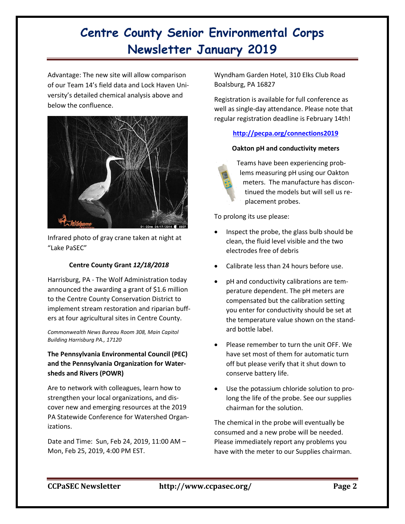# **Centre County Senior Environmental Corps Newsletter January 2019**

Advantage: The new site will allow comparison of our Team 14's field data and Lock Haven University's detailed chemical analysis above and below the confluence.



Infrared photo of gray crane taken at night at "Lake PaSEC"

## **Centre County Grant** *12/18/2018*

Harrisburg, PA - The Wolf Administration today announced the awarding a grant of \$1.6 million to the Centre County Conservation District to implement stream restoration and riparian buffers at four agricultural sites in Centre County.

*Commonwealth News Bureau Room 308, Main Capitol Building Harrisburg PA., 17120*

**The Pennsylvania Environmental Council (PEC) and the Pennsylvania Organization for Watersheds and Rivers (POWR)**

Are to network with colleagues, learn how to strengthen your local organizations, and discover new and emerging resources at the 2019 PA Statewide Conference for Watershed Organizations.

Date and Time: Sun, Feb 24, 2019, 11:00 AM – Mon, Feb 25, 2019, 4:00 PM EST.

Wyndham Garden Hotel, 310 Elks Club Road Boalsburg, PA 16827

Registration is available for full conference as well as single-day attendance. Please note that regular registration deadline is February 14th!

## **<http://pecpa.org/connections2019>**

## **Oakton pH and conductivity meters**

Teams have been experiencing problems measuring pH using our Oakton meters. The manufacture has discontinued the models but will sell us replacement probes.

To prolong its use please:

- Inspect the probe, the glass bulb should be clean, the fluid level visible and the two electrodes free of debris
- Calibrate less than 24 hours before use.
- pH and conductivity calibrations are temperature dependent. The pH meters are compensated but the calibration setting you enter for conductivity should be set at the temperature value shown on the standard bottle label.
- Please remember to turn the unit OFF. We have set most of them for automatic turn off but please verify that it shut down to conserve battery life.
- Use the potassium chloride solution to prolong the life of the probe. See our supplies chairman for the solution.

The chemical in the probe will eventually be consumed and a new probe will be needed. Please immediately report any problems you have with the meter to our Supplies chairman.